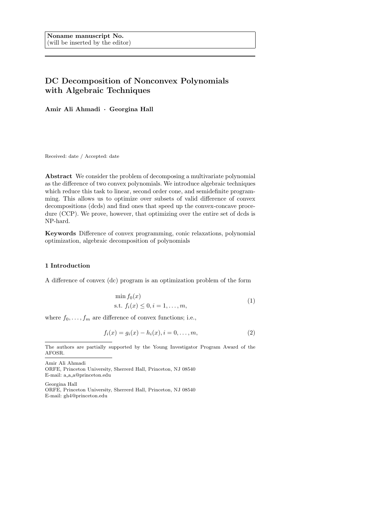# DC Decomposition of Nonconvex Polynomials with Algebraic Techniques

Amir Ali Ahmadi · Georgina Hall

Received: date / Accepted: date

Abstract We consider the problem of decomposing a multivariate polynomial as the difference of two convex polynomials. We introduce algebraic techniques which reduce this task to linear, second order cone, and semidefinite programming. This allows us to optimize over subsets of valid difference of convex decompositions (dcds) and find ones that speed up the convex-concave procedure (CCP). We prove, however, that optimizing over the entire set of dcds is NP-hard.

Keywords Difference of convex programming, conic relaxations, polynomial optimization, algebraic decomposition of polynomials

## 1 Introduction

A difference of convex (dc) program is an optimization problem of the form

$$
\min f_0(x)
$$
  
s.t.  $f_i(x) \le 0, i = 1, ..., m,$  (1)

where  $f_0, \ldots, f_m$  are difference of convex functions; i.e.,

$$
f_i(x) = g_i(x) - h_i(x), i = 0, ..., m,
$$
\n(2)

Amir Ali Ahmadi

Georgina Hall ORFE, Princeton University, Sherrerd Hall, Princeton, NJ 08540 E-mail: gh4@princeton.edu

The authors are partially supported by the Young Investigator Program Award of the AFOSR.

ORFE, Princeton University, Sherrerd Hall, Princeton, NJ 08540 E-mail: a a a@princeton.edu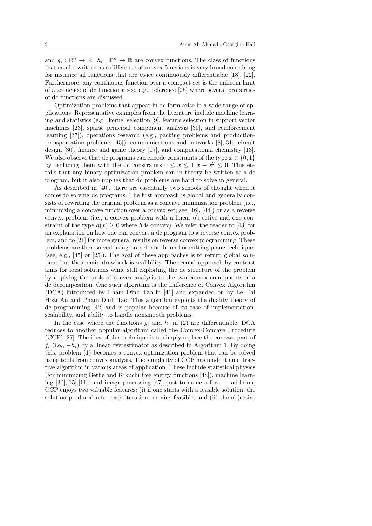and  $g_i: \mathbb{R}^n \to \mathbb{R}$ ,  $h_i: \mathbb{R}^n \to \mathbb{R}$  are convex functions. The class of functions that can be written as a difference of convex functions is very broad containing for instance all functions that are twice continuously differentiable [18], [22]. Furthermore, any continuous function over a compact set is the uniform limit of a sequence of dc functions; see, e.g., reference [25] where several properties of dc functions are discussed.

Optimization problems that appear in dc form arise in a wide range of applications. Representative examples from the literature include machine learning and statistics (e.g., kernel selection [9], feature selection in support vector machines [23], sparse principal component analysis [30], and reinforcement learning [37]), operations research (e.g., packing problems and productiontransportation problems [45]), communications and networks [8],[31], circuit design [30], finance and game theory [17], and computational chemistry [13]. We also observe that dc programs can encode constraints of the type  $x \in \{0, 1\}$ by replacing them with the dc constraints  $0 \le x \le 1, x - x^2 \le 0$ . This entails that any binary optimization problem can in theory be written as a dc program, but it also implies that dc problems are hard to solve in general.

As described in [40], there are essentially two schools of thought when it comes to solving dc programs. The first approach is global and generally consists of rewriting the original problem as a concave minimization problem (i.e., minimizing a concave function over a convex set; see [46], [44]) or as a reverse convex problem (i.e., a convex problem with a linear objective and one constraint of the type  $h(x) \geq 0$  where h is convex). We refer the reader to [43] for an explanation on how one can convert a dc program to a reverse convex problem, and to [21] for more general results on reverse convex programming. These problems are then solved using branch-and-bound or cutting plane techniques (see, e.g., [45] or [25]). The goal of these approaches is to return global solutions but their main drawback is scalibility. The second approach by contrast aims for local solutions while still exploiting the dc structure of the problem by applying the tools of convex analysis to the two convex components of a dc decomposition. One such algorithm is the Difference of Convex Algorithm (DCA) introduced by Pham Dinh Tao in [41] and expanded on by Le Thi Hoai An and Pham Dinh Tao. This algorithm exploits the duality theory of dc programming [42] and is popular because of its ease of implementation, scalability, and ability to handle nonsmooth problems.

In the case where the functions  $g_i$  and  $h_i$  in (2) are differentiable, DCA reduces to another popular algorithm called the Convex-Concave Procedure (CCP) [27]. The idea of this technique is to simply replace the concave part of  $f_i$  (i.e.,  $-h_i$ ) by a linear overestimator as described in Algorithm 1. By doing this, problem (1) becomes a convex optimization problem that can be solved using tools from convex analysis. The simplicity of CCP has made it an attractive algorithm in various areas of application. These include statistical physics (for minimizing Bethe and Kikuchi free energy functions [48]), machine learning [30],[15],[11], and image processing [47], just to name a few. In addition, CCP enjoys two valuable features: (i) if one starts with a feasible solution, the solution produced after each iteration remains feasible, and (ii) the objective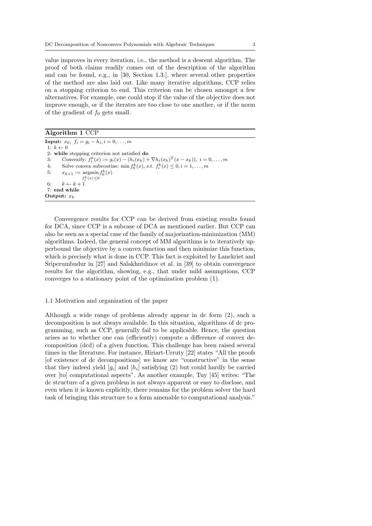value improves in every iteration, i.e., the method is a descent algorithm. The proof of both claims readily comes out of the description of the algorithm and can be found, e.g., in [30, Section 1.3.], where several other properties of the method are also laid out. Like many iterative algorithms, CCP relies on a stopping criterion to end. This criterion can be chosen amongst a few alternatives. For example, one could stop if the value of the objective does not improve enough, or if the iterates are too close to one another, or if the norm of the gradient of  $f_0$  gets small.

Algorithm 1 CCP

**Input:**  $x_0, f_i = g_i - h_i, i = 0, \ldots, m$ 1:  $k \leftarrow 0$ 2: while stopping criterion not satisfied do 3: Convexify:  $f_i^k(x) := g_i(x) - (h_i(x_k) + \nabla h_i(x_k)^T(x - x_k)), i = 0, ..., m$ 4: Solve convex subroutine: min  $f_0^k(x)$ , s.t.  $f_i^k(x) \leq 0, i = 1, ..., m$ 5:  $x_{k+1} := \operatorname{argmin} f_0^k(x)$  $f_i^k(x) \leq 0$ 6:  $k \leftarrow k + 1$ 7: end while Output:  $x_k$ 

Convergence results for CCP can be derived from existing results found for DCA, since CCP is a subcase of DCA as mentioned earlier. But CCP can also be seen as a special case of the family of majorization-minimization (MM) algorithms. Indeed, the general concept of MM algorithms is to iteratively upperbound the objective by a convex function and then minimize this function, which is precisely what is done in CCP. This fact is exploited by Lanckriet and Sriperumbudur in [27] and Salakhutdinov et al. in [39] to obtain convergence results for the algorithm, showing, e.g., that under mild assumptions, CCP converges to a stationary point of the optimization problem (1).

### 1.1 Motivation and organization of the paper

Although a wide range of problems already appear in dc form (2), such a decomposition is not always available. In this situation, algorithms of dc programming, such as CCP, generally fail to be applicable. Hence, the question arises as to whether one can (efficiently) compute a difference of convex decomposition (dcd) of a given function. This challenge has been raised several times in the literature. For instance, Hiriart-Urruty [22] states "All the proofs [of existence of dc decompositions] we know are "constructive" in the sense that they indeed yield  $[g_i]$  and  $[h_i]$  satisfying (2) but could hardly be carried over [to] computational aspects". As another example, Tuy [45] writes: "The dc structure of a given problem is not always apparent or easy to disclose, and even when it is known explicitly, there remains for the problem solver the hard task of bringing this structure to a form amenable to computational analysis."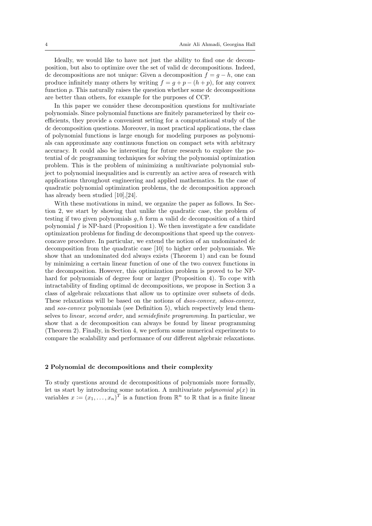Ideally, we would like to have not just the ability to find one dc decomposition, but also to optimize over the set of valid dc decompositions. Indeed, dc decompositions are not unique: Given a decomposition  $f = q - h$ , one can produce infinitely many others by writing  $f = q + p - (h + p)$ , for any convex function p. This naturally raises the question whether some dc decompositions are better than others, for example for the purposes of CCP.

In this paper we consider these decomposition questions for multivariate polynomials. Since polynomial functions are finitely parameterized by their coefficients, they provide a convenient setting for a computational study of the dc decomposition questions. Moreover, in most practical applications, the class of polynomial functions is large enough for modeling purposes as polynomials can approximate any continuous function on compact sets with arbitrary accuracy. It could also be interesting for future research to explore the potential of dc programming techniques for solving the polynomial optimization problem. This is the problem of minimizing a multivariate polynomial subject to polynomial inequalities and is currently an active area of research with applications throughout engineering and applied mathematics. In the case of quadratic polynomial optimization problems, the dc decomposition approach has already been studied [10], [24].

With these motivations in mind, we organize the paper as follows. In Section 2, we start by showing that unlike the quadratic case, the problem of testing if two given polynomials  $g, h$  form a valid dc decomposition of a third polynomial  $f$  is NP-hard (Proposition 1). We then investigate a few candidate optimization problems for finding dc decompositions that speed up the convexconcave procedure. In particular, we extend the notion of an undominated dc decomposition from the quadratic case [10] to higher order polynomials. We show that an undominated dcd always exists (Theorem 1) and can be found by minimizing a certain linear function of one of the two convex functions in the decomposition. However, this optimization problem is proved to be NPhard for polynomials of degree four or larger (Proposition 4). To cope with intractability of finding optimal dc decompositions, we propose in Section 3 a class of algebraic relaxations that allow us to optimize over subsets of dcds. These relaxations will be based on the notions of *dsos-convex*, *sdsos-convex*, and sos-convex polynomials (see Definition 5), which respectively lend themselves to linear, second order, and semidefinite programming. In particular, we show that a dc decomposition can always be found by linear programming (Theorem 2). Finally, in Section 4, we perform some numerical experiments to compare the scalability and performance of our different algebraic relaxations.

### 2 Polynomial dc decompositions and their complexity

To study questions around dc decompositions of polynomials more formally, let us start by introducing some notation. A multivariate *polynomial*  $p(x)$  in variables  $x := (x_1, \ldots, x_n)^T$  is a function from  $\mathbb{R}^n$  to  $\mathbb{R}$  that is a finite linear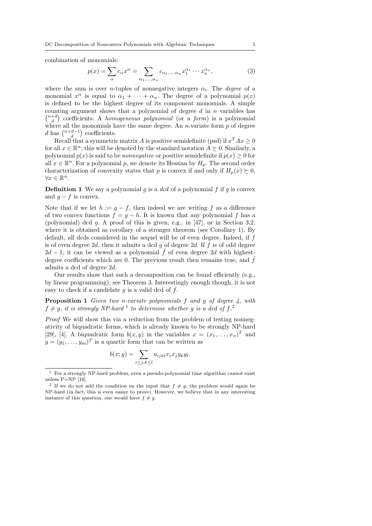combination of monomials:

$$
p(x) = \sum_{\alpha} c_{\alpha} x^{\alpha} = \sum_{\alpha_1, \dots, \alpha_n} c_{\alpha_1, \dots, \alpha_n} x_1^{\alpha_1} \cdots x_n^{\alpha_n},
$$
\n(3)

where the sum is over *n*-tuples of nonnegative integers  $\alpha_i$ . The *degree* of a monomial  $x^{\alpha}$  is equal to  $\alpha_1 + \cdots + \alpha_n$ . The degree of a polynomial  $p(x)$ is defined to be the highest degree of its component monomials. A simple counting argument shows that a polynomial of degree  $d$  in  $n$  variables has  $\binom{n+d}{d}$  coefficients. A *homogeneous polynomial* (or a *form*) is a polynomial where all the monomials have the same degree. An  $n$ -variate form  $p$  of degree d has  $\binom{n+d-1}{d}$  coefficients.

Recall that a symmetric matrix A is positive semidefinite (psd) if  $x^T A x \geq 0$ for all  $x \in \mathbb{R}^n$ ; this will be denoted by the standard notation  $A \succeq 0$ . Similarly, a polynomial  $p(x)$  is said to be *nonnegative* or positive semidefinite if  $p(x) \geq 0$  for all  $x \in \mathbb{R}^n$ . For a polynomial p, we denote its Hessian by  $H_p$ . The second order characterization of convexity states that p is convex if and only if  $H_p(x) \succeq 0$ ,  $\forall x \in \mathbb{R}^n$ .

**Definition 1** We say a polynomial g is a dcd of a polynomial f if g is convex and  $q - f$  is convex.

Note that if we let  $h := g - f$ , then indeed we are writing f as a difference of two convex functions  $f = g - h$ . It is known that any polynomial f has a (polynomial) dcd g. A proof of this is given, e.g., in [47], or in Section 3.2, where it is obtained as corollary of a stronger theorem (see Corollary 1). By default, all dcds considered in the sequel will be of even degree. Indeed, if f is of even degree 2d, then it admits a dcd  $q$  of degree 2d. If  $f$  is of odd degree  $2d-1$ , it can be viewed as a polynomial  $\hat{f}$  of even degree 2d with highestdegree coefficients which are 0. The previous result then remains true, and  $\tilde{f}$ admits a dcd of degree 2d.

Our results show that such a decomposition can be found efficiently (e.g., by linear programming); see Theorem 3. Interestingly enough though, it is not easy to check if a candidate  $g$  is a valid dcd of  $f$ .

**Proposition 1** Given two n-variate polynomials  $f$  and  $g$  of degree  $4$ , with  $f \neq g$ , it is strongly NP-hard <sup>1</sup> to determine whether g is a dcd of f.<sup>2</sup>

Proof We will show this via a reduction from the problem of testing nonnegativity of biquadratic forms, which is already known to be strongly NP-hard [29], [4]. A biquadratic form  $b(x, y)$  in the variables  $x = (x_1, \ldots, x_n)^T$  and  $y=(y_1,\ldots,y_m)^T$  is a quartic form that can be written as

$$
b(x; y) = \sum_{i \le j, k \le l} a_{ijkl} x_i x_j y_k y_l.
$$

 $1$  For a strongly NP-hard problem, even a pseudo-polynomial time algorithm cannot exist unless  $P=NP$  [16].

<sup>&</sup>lt;sup>2</sup> If we do not add the condition on the input that  $f \neq g$ , the problem would again be NP-hard (in fact, this is even easier to prove). However, we believe that in any interesting instance of this question, one would have  $f \neq g$ .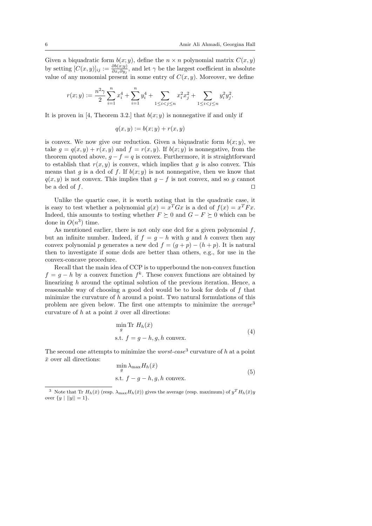Given a biquadratic form  $b(x; y)$ , define the  $n \times n$  polynomial matrix  $C(x, y)$ by setting  $[C(x,y)]_{ij} := \frac{\partial b(x,y)}{\partial x_i \partial y_j}$  $\frac{\partial o(x; y)}{\partial x_i \partial y_j}$ , and let  $\gamma$  be the largest coefficient in absolute value of any monomial present in some entry of  $C(x, y)$ . Moreover, we define

$$
r(x;y):=\frac{n^2\gamma}{2}\sum_{i=1}^nx_i^4+\sum_{i=1}^ny_i^4+\sum_{1\leq i
$$

It is proven in [4, Theorem 3.2.] that  $b(x; y)$  is nonnegative if and only if

$$
q(x, y) := b(x; y) + r(x, y)
$$

is convex. We now give our reduction. Given a biquadratic form  $b(x; y)$ , we take  $g = g(x, y) + r(x, y)$  and  $f = r(x, y)$ . If  $b(x, y)$  is nonnegative, from the theorem quoted above,  $g - f = q$  is convex. Furthermore, it is straightforward to establish that  $r(x, y)$  is convex, which implies that g is also convex. This means that g is a dcd of f. If  $b(x; y)$  is not nonnegative, then we know that  $q(x, y)$  is not convex. This implies that  $g - f$  is not convex, and so g cannot be a dcd of  $f$ .

Unlike the quartic case, it is worth noting that in the quadratic case, it is easy to test whether a polynomial  $g(x) = x^T G x$  is a dcd of  $f(x) = x^T F x$ . Indeed, this amounts to testing whether  $F \succeq 0$  and  $G - F \succeq 0$  which can be done in  $O(n^3)$  time.

As mentioned earlier, there is not only one dcd for a given polynomial  $f$ , but an infinite number. Indeed, if  $f = q - h$  with q and h convex then any convex polynomial p generates a new dcd  $f = (q + p) - (h + p)$ . It is natural then to investigate if some dcds are better than others, e.g., for use in the convex-concave procedure.

Recall that the main idea of CCP is to upperbound the non-convex function  $f = g - h$  by a convex function  $f^k$ . These convex functions are obtained by linearizing h around the optimal solution of the previous iteration. Hence, a reasonable way of choosing a good dcd would be to look for dcds of f that minimize the curvature of  $h$  around a point. Two natural formulations of this problem are given below. The first one attempts to minimize the *average*<sup>3</sup> curvature of h at a point  $\bar{x}$  over all directions:

$$
\min_{g} \text{Tr } H_h(\bar{x})
$$
  
s.t.  $f = g - h, g, h \text{ convex.}$  (4)

The second one attempts to minimize the *worst-case*<sup>3</sup> curvature of  $h$  at a point  $\bar{x}$  over all directions:  $H(\bar{z})$ 

$$
\min_{g} \lambda_{\max} H_h(\bar{x})
$$
  
s.t.  $f - g - h, g, h$  convex. (5)

<sup>&</sup>lt;sup>3</sup> Note that Tr  $H_h(\bar{x})$  (resp.  $\lambda_{\max}H_h(\bar{x})$ ) gives the average (resp. maximum) of  $y^T H_h(\bar{x})y$ over  $\{y \mid ||y|| = 1\}.$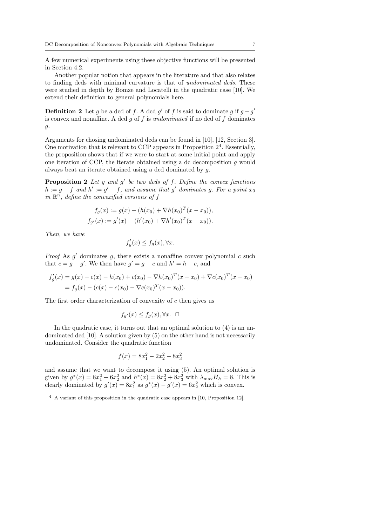A few numerical experiments using these objective functions will be presented in Section 4.2.

Another popular notion that appears in the literature and that also relates to finding dcds with minimal curvature is that of undominated dcds. These were studied in depth by Bomze and Locatelli in the quadratic case [10]. We extend their definition to general polynomials here.

**Definition 2** Let g be a dcd of f. A dcd g' of f is said to dominate g if  $g - g'$ is convex and nonaffine. A dcd  $g$  of  $f$  is undominated if no dcd of  $f$  dominates g.

Arguments for chosing undominated dcds can be found in [10], [12, Section 3]. One motivation that is relevant to CCP appears in Proposition  $2<sup>4</sup>$ . Essentially, the proposition shows that if we were to start at some initial point and apply one iteration of CCP, the iterate obtained using a dc decomposition  $g$  would always beat an iterate obtained using a dcd dominated by g.

**Proposition 2** Let  $g$  and  $g'$  be two dcds of  $f$ . Define the convex functions  $h := g - f$  and  $h' := g' - f$ , and assume that g' dominates g. For a point  $x_0$ in  $\mathbb{R}^n$ , define the convexified versions of f

$$
f_g(x) := g(x) - (h(x_0) + \nabla h(x_0)^T (x - x_0)),
$$
  
\n
$$
f_{g'}(x) := g'(x) - (h'(x_0) + \nabla h'(x_0)^T (x - x_0)).
$$

Then, we have

$$
f'_g(x) \le f_g(x), \forall x.
$$

*Proof* As  $g'$  dominates  $g$ , there exists a nonaffine convex polynomial  $c$  such that  $c = g - g'$ . We then have  $g' = g - c$  and  $h' = h - c$ , and

$$
f'_g(x) = g(x) - c(x) - h(x_0) + c(x_0) - \nabla h(x_0)^T (x - x_0) + \nabla c(x_0)^T (x - x_0)
$$
  
=  $f_g(x) - (c(x) - c(x_0) - \nabla c(x_0)^T (x - x_0)).$ 

The first order characterization of convexity of c then gives us

$$
f_{g'}(x) \le f_g(x), \forall x. \quad \Box
$$

In the quadratic case, it turns out that an optimal solution to  $(4)$  is an undominated dcd [10]. A solution given by (5) on the other hand is not necessarily undominated. Consider the quadratic function

$$
f(x) = 8x_1^2 - 2x_2^2 - 8x_3^2
$$

and assume that we want to decompose it using (5). An optimal solution is given by  $g^*(x) = 8x_1^2 + 6x_2^2$  and  $h^*(x) = 8x_2^2 + 8x_3^2$  with  $\lambda_{\max} H_h = 8$ . This is clearly dominated by  $g'(x) = 8x_1^2$  as  $g^*(x) - g'(x) = 6x_2^2$  which is convex.

<sup>4</sup> A variant of this proposition in the quadratic case appears in [10, Proposition 12].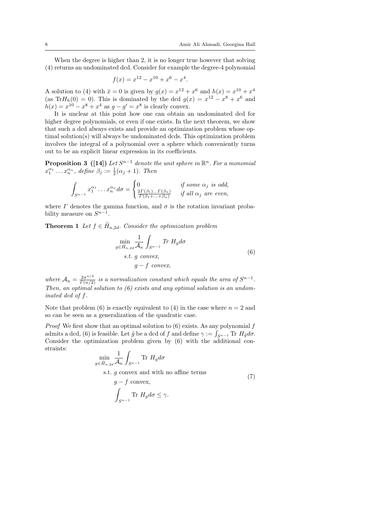When the degree is higher than 2, it is no longer true however that solving (4) returns an undominated dcd. Consider for example the degree-4 polynomial

$$
f(x) = x^{12} - x^{10} + x^6 - x^4.
$$

A solution to (4) with  $\bar{x} = 0$  is given by  $g(x) = x^{12} + x^6$  and  $h(x) = x^{10} + x^4$ (as Tr $H_h(0) = 0$ ). This is dominated by the dcd  $g(x) = x^{12} - x^8 + x^6$  and  $h(x) = x^{10} - x^8 + x^4$  as  $g - g' = x^8$  is clearly convex.

It is unclear at this point how one can obtain an undominated dcd for higher degree polynomials, or even if one exists. In the next theorem, we show that such a dcd always exists and provide an optimization problem whose optimal solution(s) will always be undominated dcds. This optimization problem involves the integral of a polynomial over a sphere which conveniently turns out to be an explicit linear expression in its coefficients.

**Proposition 3** ([14]) Let  $S^{n-1}$  denote the unit sphere in  $\mathbb{R}^n$ . For a monomial  $x_1^{\alpha_1} \dots x_n^{\alpha_n}$ , define  $\beta_j := \frac{1}{2}(\alpha_j + 1)$ . Then

$$
\int_{S^{n-1}} x_1^{\alpha_1} \dots x_n^{\alpha_n} d\sigma = \begin{cases} 0 & \text{if some } \alpha_j \text{ is odd,} \\ \frac{2\Gamma(\beta_1)\dots\Gamma(\beta_n)}{\Gamma(\beta_1+\dots+\beta_n)} & \text{if all } \alpha_j \text{ are even,} \end{cases}
$$

where  $\Gamma$  denotes the gamma function, and  $\sigma$  is the rotation invariant probability measure on  $S^{n-1}$ .

**Theorem 1** Let  $f \in \tilde{H}_{n,2d}$ . Consider the optimization problem

$$
\min_{g \in \tilde{H}_{n,2d}} \frac{1}{\mathcal{A}_n} \int_{S^{n-1}} \text{Tr } H_g d\sigma
$$
\n
$$
s.t. \ g \text{ convex},
$$
\n
$$
g - f \text{ convex},
$$
\n(6)

where  $A_n = \frac{2\pi^{n/2}}{\Gamma(n/2)}$  is a normalization constant which equals the area of  $S^{n-1}$ . Then, an optimal solution to  $(6)$  exists and any optimal solution is an undominated dcd of f.

Note that problem (6) is exactly equivalent to (4) in the case where  $n = 2$  and so can be seen as a generalization of the quadratic case.

*Proof* We first show that an optimal solution to  $(6)$  exists. As any polynomial f admits a dcd, (6) is feasible. Let  $\tilde{g}$  be a dcd of f and define  $\gamma := \int_{S^{n-1}} \text{Tr } H_{\tilde{g}} d\sigma$ . Consider the optimization problem given by (6) with the additional constraints:

$$
\min_{g \in \tilde{H}_{n,2d}} \frac{1}{\mathcal{A}_n} \int_{S^{n-1}} \text{Tr } H_g d\sigma
$$
\ns.t.  $g$  convex and with no affine terms

\n
$$
g - f
$$
 convex,  
\n
$$
\int_{S^{n-1}} \text{Tr } H_g d\sigma \leq \gamma.
$$
\n
$$
(7)
$$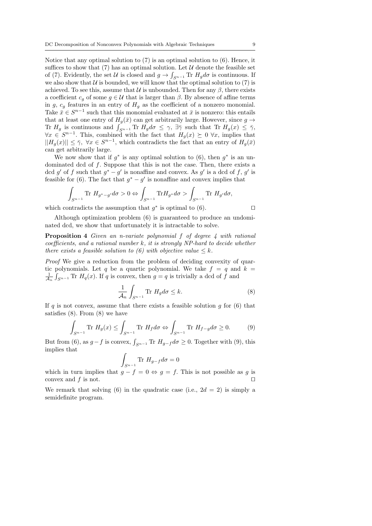Notice that any optimal solution to  $(7)$  is an optimal solution to  $(6)$ . Hence, it suffices to show that (7) has an optimal solution. Let  $\mathcal U$  denote the feasible set of (7). Evidently, the set U is closed and  $g \to \int_{S^{n-1}} \text{Tr} H_g d\sigma$  is continuous. If we also show that  $U$  is bounded, we will know that the optimal solution to (7) is achieved. To see this, assume that  $\mathcal U$  is unbounded. Then for any  $\beta$ , there exists a coefficient  $c_q$  of some  $q \in \mathcal{U}$  that is larger than  $\beta$ . By absence of affine terms in g,  $c_g$  features in an entry of  $H_g$  as the coefficient of a nonzero monomial. Take  $\bar{x} \in S^{n-1}$  such that this monomial evaluated at  $\bar{x}$  is nonzero: this entails that at least one entry of  $H_q(\bar{x})$  can get arbitrarily large. However, since  $g \rightarrow$ Tr  $H_g$  is continuous and  $\int_{S^{n-1}} \text{Tr } H_g d\sigma \leq \gamma$ ,  $\exists \bar{\gamma}$  such that  $\text{Tr } H_g(x) \leq \bar{\gamma}$ ,  $\forall x \in S^{n-1}$ . This, combined with the fact that  $H_g(x) \succeq 0 \ \forall x$ , implies that  $||H_g(x)|| \leq \overline{\gamma}$ ,  $\forall x \in S^{n-1}$ , which contradicts the fact that an entry of  $H_g(\overline{x})$ can get arbitrarily large.

We now show that if  $g^*$  is any optimal solution to (6), then  $g^*$  is an undominated dcd of f. Suppose that this is not the case. Then, there exists a dcd g' of f such that  $g^* - g'$  is nonaffine and convex. As g' is a dcd of f, g' is feasible for (6). The fact that  $g^* - g'$  is nonaffine and convex implies that

$$
\int_{S^{n-1}} \text{Tr}\ H_{g^*-g'} d\sigma > 0 \Leftrightarrow \int_{S^{n-1}} \text{Tr} H_{g^*} d\sigma > \int_{S^{n-1}} \text{Tr}\ H_{g'} d\sigma,
$$

which contradicts the assumption that  $g^*$  is optimal to (6).

Although optimization problem (6) is guaranteed to produce an undominated dcd, we show that unfortunately it is intractable to solve.

Proposition 4 Given an n-variate polynomial f of degree 4 with rational  $coefficients, and a rational number k, it is strongly NP-hard to decide whether$ there exists a feasible solution to (6) with objective value  $\leq k$ .

Proof We give a reduction from the problem of deciding convexity of quartic polynomials. Let q be a quartic polynomial. We take  $f = q$  and  $k =$  $\frac{1}{A_n} \int_{S^{n-1}} \text{Tr } H_q(x)$ . If q is convex, then  $g = q$  is trivially a dcd of f and

$$
\frac{1}{\mathcal{A}_n} \int_{S^{n-1}} \text{Tr } H_g d\sigma \le k. \tag{8}
$$

If q is not convex, assume that there exists a feasible solution  $q$  for (6) that satisfies (8). From (8) we have

$$
\int_{S^{n-1}} \text{Tr } H_g(x) \le \int_{S^{n-1}} \text{Tr } H_f d\sigma \Leftrightarrow \int_{S^{n-1}} \text{Tr } H_{f-g} d\sigma \ge 0. \tag{9}
$$

But from (6), as  $g-f$  is convex,  $\int_{S^{n-1}} \text{Tr } H_{g-f} d\sigma \geq 0$ . Together with (9), this implies that

$$
\int_{S^{n-1}} \text{Tr} \ H_{g-f} d\sigma = 0
$$

which in turn implies that  $g - f = 0 \Leftrightarrow g = f$ . This is not possible as g is convex and  $f$  is not.

We remark that solving (6) in the quadratic case (i.e.,  $2d = 2$ ) is simply a semidefinite program.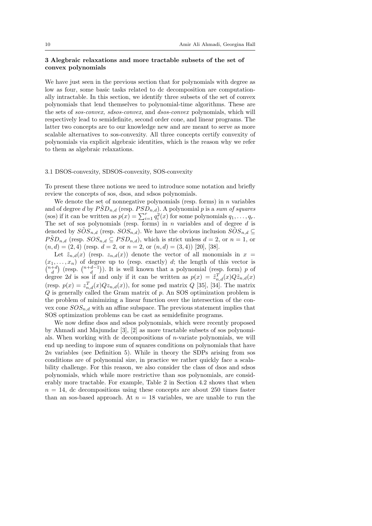### 3 Alegbraic relaxations and more tractable subsets of the set of convex polynomials

We have just seen in the previous section that for polynomials with degree as low as four, some basic tasks related to dc decomposition are computationally intractable. In this section, we identify three subsets of the set of convex polynomials that lend themselves to polynomial-time algorithms. These are the sets of sos-convex, sdsos-convex, and dsos-convex polynomials, which will respectively lead to semidefinite, second order cone, and linear programs. The latter two concepts are to our knowledge new and are meant to serve as more scalable alternatives to sos-convexity. All three concepts certify convexity of polynomials via explicit algebraic identities, which is the reason why we refer to them as algebraic relaxations.

### 3.1 DSOS-convexity, SDSOS-convexity, SOS-convexity

To present these three notions we need to introduce some notation and briefly review the concepts of sos, dsos, and sdsos polynomials.

We denote the set of nonnegative polynomials (resp. forms) in  $n$  variables and of degree d by  $\tilde{PSD}_{n,d}$  (resp.  $PSD_{n,d}$ ). A polynomial p is a sum of squares (sos) if it can be written as  $p(x) = \sum_{i=1}^{r} q_i^2(x)$  for some polynomials  $q_1, \ldots, q_r$ . The set of sos polynomials (resp. forms) in  $n$  variables and of degree  $d$  is denoted by  $S\tilde{O}S_{n,d}$  (resp.  $S\tilde{O}S_{n,d}$ ). We have the obvious inclusion  $S\tilde{O}S_{n,d} \subseteq$  $\tilde{PSD}_{n,d}$  (resp.  $SOS_{n,d} \subseteq PSD_{n,d}$ ), which is strict unless  $d = 2$ , or  $n = 1$ , or  $(n, d) = (2, 4)$  (resp.  $d = 2$ , or  $n = 2$ , or  $(n, d) = (3, 4)$ ) [20], [38].

Let  $\tilde{z}_{n,d}(x)$  (resp.  $z_{n,d}(x)$ ) denote the vector of all monomials in  $x =$  $(x_1, \ldots, x_n)$  of degree up to (resp. exactly) d; the length of this vector is  $\binom{n+d}{d}$  (resp.  $\binom{n+d-1}{d}$ ). It is well known that a polynomial (resp. form) p of degree 2d is sos if and only if it can be written as  $p(x) = \tilde{z}_{n,d}^T(x)Q\tilde{z}_{n,d}(x)$ (resp.  $p(x) = z_{n,d}^T(x)Q_{n,d}(x)$ ), for some psd matrix Q [35], [34]. The matrix  $Q$  is generally called the Gram matrix of  $p$ . An SOS optimization problem is the problem of minimizing a linear function over the intersection of the convex cone  $SOS_{n,d}$  with an affine subspace. The previous statement implies that SOS optimization problems can be cast as semidefinite programs.

We now define dsos and sdsos polynomials, which were recently proposed by Ahmadi and Majumdar [3], [2] as more tractable subsets of sos polynomials. When working with dc decompositions of n-variate polynomials, we will end up needing to impose sum of squares conditions on polynomials that have 2n variables (see Definition 5). While in theory the SDPs arising from sos conditions are of polynomial size, in practice we rather quickly face a scalability challenge. For this reason, we also consider the class of dsos and sdsos polynomials, which while more restrictive than sos polynomials, are considerably more tractable. For example, Table 2 in Section 4.2 shows that when  $n = 14$ , dc decompositions using these concepts are about 250 times faster than an sos-based approach. At  $n = 18$  variables, we are unable to run the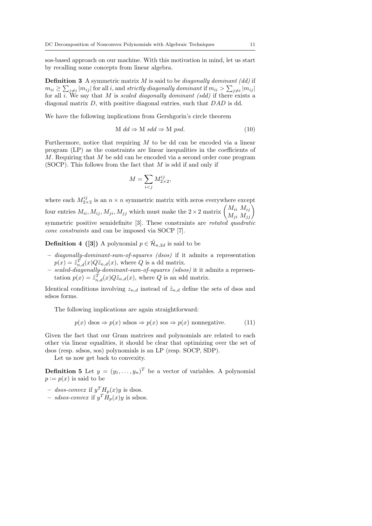sos-based approach on our machine. With this motivation in mind, let us start by recalling some concepts from linear algebra.

**Definition 3** A symmetric matrix  $M$  is said to be *diagonally dominant* (dd) if  $m_{ii} \geq \sum_{j\neq i} |m_{ij}|$  for all i, and strictly diagonally dominant if  $m_{ii} > \sum_{j\neq i} |m_{ij}|$ for all i. We say that M is scaled diagonally dominant (sdd) if there exists a diagonal matrix D, with positive diagonal entries, such that DAD is dd.

We have the following implications from Gershgorin's circle theorem

$$
M \, dd \Rightarrow M \, sdd \Rightarrow M \, psd. \tag{10}
$$

Furthermore, notice that requiring  $M$  to be dd can be encoded via a linear program (LP) as the constraints are linear inequalities in the coefficients of M. Requiring that M be sdd can be encoded via a second order cone program (SOCP). This follows from the fact that  $M$  is sdd if and only if

$$
M = \sum_{i < j} M_{2 \times 2}^{ij},
$$

where each  $M_{2\times 2}^{ij}$  is an  $n \times n$  symmetric matrix with zeros everywhere except four entries  $M_{ii}$ ,  $M_{ij}$ ,  $M_{ji}$ ,  $M_{jj}$  which must make the  $2 \times 2$  matrix  $\begin{pmatrix} M_{ii} & M_{ij} \\ M_{ji} & M_{jj} \end{pmatrix}$ symmetric positive semidefinite  $[3]$ . These constraints are *rotated quadratic* cone constraints and can be imposed via SOCP [7].

**Definition 4** ([3]) A polynomial  $p \in \tilde{\mathcal{H}}_{n,2d}$  is said to be

- diagonally-dominant-sum-of-squares (dsos) if it admits a representation  $p(x) = \tilde{z}_{n,d}^{T}(x) Q \tilde{z}_{n,d}(x)$ , where Q is a dd matrix.
- scaled-diagonally-dominant-sum-of-squares (sdsos) it it admits a representation  $p(x) = \tilde{z}_{n,d}^T(x) Q \tilde{z}_{n,d}(x)$ , where Q is an sdd matrix.

Identical conditions involving  $z_{n,d}$  instead of  $\tilde{z}_{n,d}$  define the sets of dsos and sdsos forms.

The following implications are again straightforward:

$$
p(x) d\cos \Rightarrow p(x) s d\cos \Rightarrow p(x) s \cos \Rightarrow p(x) nonnegative. \tag{11}
$$

Given the fact that our Gram matrices and polynomials are related to each other via linear equalities, it should be clear that optimizing over the set of dsos (resp. sdsos, sos) polynomials is an LP (resp. SOCP, SDP).

Let us now get back to convexity.

**Definition 5** Let  $y = (y_1, \ldots, y_n)^T$  be a vector of variables. A polynomial  $p := p(x)$  is said to be

- dsos-convex if  $y^T H_p(x) y$  is dsos.
- sdsos-convex if  $y^T \tilde{H}_p(x) y$  is sdsos.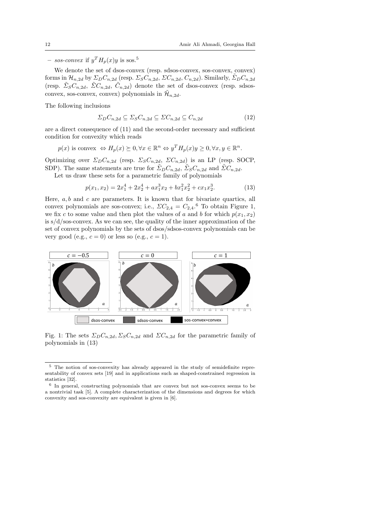$-$  sos-convex if  $y^T H_p(x) y$  is sos.<sup>5</sup>

We denote the set of dsos-convex (resp. sdsos-convex, sos-convex, convex) forms in  $\mathcal{H}_{n,2d}$  by  $\Sigma_D C_{n,2d}$  (resp.  $\Sigma_S C_{n,2d}$ ,  $\Sigma C_{n,2d}$ ,  $C_{n,2d}$ ). Similarly,  $\tilde{\Sigma}_D C_{n,2d}$ (resp.  $\tilde{\Sigma}_{S}C_{n,2d}$ ,  $\tilde{\Sigma}C_{n,2d}$ ,  $\tilde{C}_{n,2d}$ ) denote the set of dsos-convex (resp. sdsosconvex, sos-convex, convex) polynomials in  $\mathcal{H}_{n,2d}$ .

The following inclusions

$$
\Sigma_D C_{n,2d} \subseteq \Sigma_S C_{n,2d} \subseteq \Sigma C_{n,2d} \subseteq C_{n,2d} \tag{12}
$$

are a direct consequence of (11) and the second-order necessary and sufficient condition for convexity which reads

$$
p(x)
$$
 is convex  $\Leftrightarrow H_p(x) \succeq 0, \forall x \in \mathbb{R}^n \Leftrightarrow y^T H_p(x) y \ge 0, \forall x, y \in \mathbb{R}^n$ .

Optimizing over  $\Sigma_D C_{n,2d}$  (resp.  $\Sigma_S C_{n,2d}$ ,  $\Sigma C_{n,2d}$ ) is an LP (resp. SOCP, SDP). The same statements are true for  $\tilde{\Sigma}_D C_{n,2d}$ ,  $\tilde{\Sigma}_S C_{n,2d}$  and  $\tilde{\Sigma} C_{n,2d}$ .

Let us draw these sets for a parametric family of polynomials

$$
p(x_1, x_2) = 2x_1^4 + 2x_2^4 + ax_1^3x_2 + bx_1^2x_2^2 + cx_1x_2^3.
$$
 (13)

Here,  $a, b$  and  $c$  are parameters. It is known that for bivariate quartics, all convex polynomials are sos-convex; i.e.,  $\sum C_{2,4} = C_{2,4}$ .<sup>6</sup> To obtain Figure 1, we fix c to some value and then plot the values of a and b for which  $p(x_1, x_2)$ is  $s/d$ /sos-convex. As we can see, the quality of the inner approximation of the set of convex polynomials by the sets of dsos/sdsos-convex polynomials can be very good (e.g.,  $c = 0$ ) or less so (e.g.,  $c = 1$ ).



Fig. 1: The sets  $\Sigma_D C_{n,2d}$ ,  $\Sigma_S C_{n,2d}$  and  $\Sigma C_{n,2d}$  for the parametric family of polynomials in (13)

<sup>5</sup> The notion of sos-convexity has already appeared in the study of semidefinite representability of convex sets [19] and in applications such as shaped-constrained regression in statistics [32].

<sup>&</sup>lt;sup>6</sup> In general, constructing polynomials that are convex but not sos-convex seems to be a nontrivial task [5]. A complete characterization of the dimensions and degrees for which convexity and sos-convexity are equivalent is given in [6].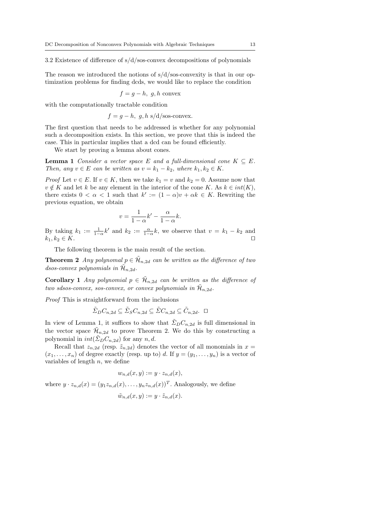3.2 Existence of difference of  $s/d$ /sos-convex decompositions of polynomials

The reason we introduced the notions of  $s/d$ /sos-convexity is that in our optimization problems for finding dcds, we would like to replace the condition

$$
f = g - h, g, h
$$
 convex

with the computationally tractable condition

 $f = g - h$ , g, h s/d/sos-convex.

The first question that needs to be addressed is whether for any polynomial such a decomposition exists. In this section, we prove that this is indeed the case. This in particular implies that a dcd can be found efficiently.

We start by proving a lemma about cones.

**Lemma 1** Consider a vector space E and a full-dimensional cone  $K \subseteq E$ . Then, any  $v \in E$  can be written as  $v = k_1 - k_2$ , where  $k_1, k_2 \in K$ .

*Proof* Let  $v \in E$ . If  $v \in K$ , then we take  $k_1 = v$  and  $k_2 = 0$ . Assume now that  $v \notin K$  and let k be any element in the interior of the cone K. As  $k \in int(K)$ , there exists  $0 < \alpha < 1$  such that  $k' := (1 - \alpha)v + \alpha k \in K$ . Rewriting the previous equation, we obtain

$$
v = \frac{1}{1 - \alpha}k' - \frac{\alpha}{1 - \alpha}k.
$$

By taking  $k_1 := \frac{1}{1-\alpha}k'$  and  $k_2 := \frac{\alpha}{1-\alpha}k$ , we observe that  $v = k_1 - k_2$  and  $k_1, k_2 \in K$ .

The following theorem is the main result of the section.

**Theorem 2** Any polynomal  $p \in \tilde{\mathcal{H}}_{n,2d}$  can be written as the difference of two dsos-convex polynomials in  $\mathcal{\tilde{H}}_{n,2d}$ .

**Corollary 1** Any polynomial  $p \in \tilde{\mathcal{H}}_{n,2d}$  can be written as the difference of two sdsos-convex, sos-convex, or convex polynomials in  $\mathcal{H}_{n,2d}$ .

Proof This is straightforward from the inclusions

$$
\tilde{\Sigma}_D C_{n,2d} \subseteq \tilde{\Sigma}_S C_{n,2d} \subseteq \tilde{\Sigma} C_{n,2d} \subseteq \tilde{C}_{n,2d}. \ \ \Box
$$

In view of Lemma 1, it suffices to show that  $\tilde{\Sigma}_D C_{n,2d}$  is full dimensional in the vector space  $\mathcal{H}_{n,2d}$  to prove Theorem 2. We do this by constructing a polynomial in  $int(\tilde{\Sigma}_D C_{n,2d})$  for any n, d.

Recall that  $z_{n,2d}$  (resp.  $\tilde{z}_{n,2d}$ ) denotes the vector of all monomials in  $x =$  $(x_1, \ldots, x_n)$  of degree exactly (resp. up to) d. If  $y = (y_1, \ldots, y_n)$  is a vector of variables of length  $n$ , we define

$$
w_{n,d}(x,y) := y \cdot z_{n,d}(x),
$$
  
where  $y \cdot z_{n,d}(x) = (y_1 z_{n,d}(x), \dots, y_n z_{n,d}(x))^T$ . Analogously, we define  

$$
\tilde{w}_{n,d}(x,y) := y \cdot \tilde{z}_{n,d}(x).
$$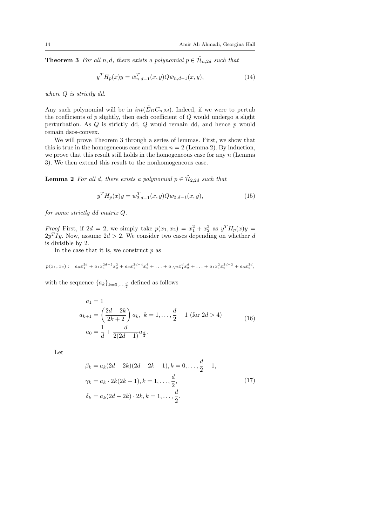**Theorem 3** For all n, d, there exists a polynomial  $p \in \mathcal{H}_{n,2d}$  such that

$$
y^T H_p(x) y = \tilde{w}_{n,d-1}^T(x, y) Q \tilde{w}_{n,d-1}(x, y), \qquad (14)
$$

where Q is strictly dd.

Any such polynomial will be in  $int(\tilde{\Sigma}_D C_{n,2d})$ . Indeed, if we were to pertub the coefficients of  $p$  slightly, then each coefficient of  $Q$  would undergo a slight perturbation. As  $Q$  is strictly dd,  $Q$  would remain dd, and hence  $p$  would remain dsos-convex.

We will prove Theorem 3 through a series of lemmas. First, we show that this is true in the homogeneous case and when  $n = 2$  (Lemma 2). By induction, we prove that this result still holds in the homogeneous case for any  $n$  (Lemma 3). We then extend this result to the nonhomogeneous case.

**Lemma 2** For all d, there exists a polynomial  $p \in \tilde{\mathcal{H}}_{2,2d}$  such that

$$
y^T H_p(x) y = w_{2,d-1}^T(x, y) Q w_{2,d-1}(x, y), \tag{15}
$$

for some strictly dd matrix Q.

*Proof* First, if  $2d = 2$ , we simply take  $p(x_1, x_2) = x_1^2 + x_2^2$  as  $y^T H_p(x)y =$  $2y<sup>T</sup>Iy$ . Now, assume  $2d > 2$ . We consider two cases depending on whether d is divisible by 2.

In the case that it is, we construct  $p$  as

$$
p(x_1, x_2) := a_0 x_1^{2d} + a_1 x_1^{2d-2} x_2^2 + a_2 x_1^{2d-4} x_2^4 + \ldots + a_{d/2} x_1^d x_2^d + \ldots + a_1 x_1^2 x_2^{2d-2} + a_0 x_2^{2d},
$$

with the sequence  ${a_k}_{k=0,\ldots,\frac{d}{2}}$  defined as follows

$$
a_1 = 1
$$
  
\n
$$
a_{k+1} = \left(\frac{2d - 2k}{2k + 2}\right) a_k, \ k = 1, \dots, \frac{d}{2} - 1 \text{ (for } 2d > 4)
$$
  
\n
$$
a_0 = \frac{1}{d} + \frac{d}{2(2d - 1)} a_{\frac{d}{2}}.
$$
\n(16)

Let

$$
\beta_k = a_k(2d - 2k)(2d - 2k - 1), k = 0, ..., \frac{d}{2} - 1,
$$
  
\n
$$
\gamma_k = a_k \cdot 2k(2k - 1), k = 1, ..., \frac{d}{2},
$$
  
\n
$$
\delta_k = a_k(2d - 2k) \cdot 2k, k = 1, ..., \frac{d}{2}.
$$
\n(17)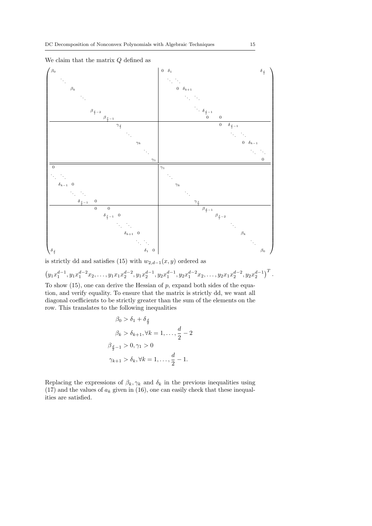

# We claim that the matrix  $Q$  defined as

is strictly dd and satisfies (15) with  $w_{2,d-1}(x, y)$  ordered as

$$
(y_1x_1^{d-1}, y_1x_1^{d-2}x_2, \ldots, y_1x_1x_2^{d-2}, y_1x_2^{d-1}, y_2x_1^{d-1}, y_2x_1^{d-2}x_2, \ldots, y_2x_1x_2^{d-2}, y_2x_2^{d-1})^T
$$
.

To show  $(15)$ , one can derive the Hessian of p, expand both sides of the equation, and verify equality. To ensure that the matrix is strictly dd, we want all diagonal coefficients to be strictly greater than the sum of the elements on the row. This translates to the following inequalities

$$
\beta_0 > \delta_1 + \delta_{\frac{d}{2}}
$$
  
\n
$$
\beta_k > \delta_{k+1}, \forall k = 1, \dots, \frac{d}{2} - 2
$$
  
\n
$$
\beta_{\frac{d}{2}-1} > 0, \gamma_1 > 0
$$
  
\n
$$
\gamma_{k+1} > \delta_k, \forall k = 1, \dots, \frac{d}{2} - 1.
$$

Replacing the expressions of  $\beta_k, \gamma_k$  and  $\delta_k$  in the previous inequalities using (17) and the values of  $a_k$  given in (16), one can easily check that these inequalities are satisfied.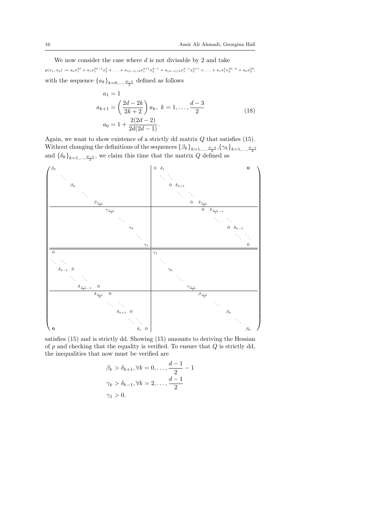We now consider the case where  $d$  is not divisable by 2 and take  $p(x_1, x_2) := a_0 x_1^{2d} + a_1 x_1^{2d-2} x_2^2 + \ldots + a_{(d-1)/2} x_1^{d+1} x_2^{d-1} + a_{(d-1)/2} x_1^{d-1} x_2^{d+1} + \ldots + a_1 x_1^2 x_2^{2d-2} + a_0 x_2^{2d}$ with the sequence  ${a_k}_{k=0,\ldots,\frac{d-1}{2}}$  defined as follows

$$
a_1 = 1
$$
  
\n
$$
a_{k+1} = \left(\frac{2d - 2k}{2k + 2}\right) a_k, \ k = 1, \dots, \frac{d-3}{2}
$$
  
\n
$$
a_0 = 1 + \frac{2(2d - 2)}{2d(2d - 1)}.
$$
\n(18)

Again, we want to show existence of a strictly dd matrix  $Q$  that satisfies (15). Without changing the definitions of the sequences  $\{\beta_k\}_{k=1,\ldots,\frac{d-3}{2}}, \{\gamma_k\}_{k=1,\ldots,\frac{d-1}{2}}$ and  $\{\delta_k\}_{k=1,\ldots,\frac{d-1}{2}}$ , we claim this time that the matrix Q defined as



satisfies (15) and is strictly dd. Showing (15) amounts to deriving the Hessian of  $p$  and checking that the equality is verified. To ensure that  $Q$  is strictly dd, the inequalities that now must be verified are

$$
\beta_k > \delta_{k+1}, \forall k = 0, \dots, \frac{d-1}{2} - 1
$$
  

$$
\gamma_k > \delta_{k-1}, \forall k = 2, \dots, \frac{d-1}{2}
$$
  

$$
\gamma_1 > 0.
$$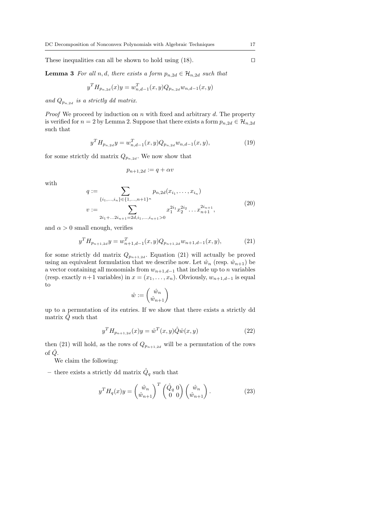These inequalities can all be shown to hold using  $(18)$ .

**Lemma 3** For all n, d, there exists a form  $p_{n,2d} \in \mathcal{H}_{n,2d}$  such that

$$
y^T H_{p_{n,2d}}(x) y = w_{n,d-1}^T(x,y) Q_{p_{n,2d}} w_{n,d-1}(x,y)
$$

and  $Q_{p_{n,2d}}$  is a strictly dd matrix.

*Proof* We proceed by induction on n with fixed and arbitrary d. The property is verified for  $n = 2$  by Lemma 2. Suppose that there exists a form  $p_{n,2d} \in \mathcal{H}_{n,2d}$ such that

$$
y^T H_{p_{n,2d}} y = w_{n,d-1}^T(x,y) Q_{p_{n,2d}} w_{n,d-1}(x,y),
$$
\n(19)

for some strictly dd matrix  $Q_{p_{n,2d}}$ . We now show that

$$
p_{n+1,2d} := q + \alpha v
$$

with

$$
q := \sum_{\{i_1,\dots,i_n\} \in \{1,\dots,n+1\}^n} p_{n,2d}(x_{i_1},\dots,x_{i_n})
$$
  

$$
v := \sum_{2i_1 + \dots + 2i_{n+1} = 2d, i_1,\dots,i_{n+1} > 0} x_1^{2i_1} x_2^{2i_2} \dots x_{n+1}^{2i_{n+1}},
$$

$$
(20)
$$

and  $\alpha > 0$  small enough, verifies

$$
y^T H_{p_{n+1,2d}} y = w_{n+1,d-1}^T(x,y) Q_{p_{n+1,2d}} w_{n+1,d-1}(x,y), \tag{21}
$$

for some strictly dd matrix  $Q_{p_{n+1},2d}$ . Equation (21) will actually be proved using an equivalent formulation that we describe now. Let  $\hat{w}_n$  (resp.  $\hat{w}_{n+1}$ ) be a vector containing all monomials from  $w_{n+1,d-1}$  that include up to n variables (resp. exactly  $n+1$  variables) in  $x = (x_1, \ldots, x_n)$ . Obviously,  $w_{n+1,d-1}$  is equal to

$$
\hat{w}:=\begin{pmatrix} \hat{w}_n \\ \hat{w}_{n+1} \end{pmatrix}
$$

up to a permutation of its entries. If we show that there exists a strictly dd matrix  $\hat{Q}$  such that

$$
y^{T} H_{p_{n+1,2d}}(x) y = \hat{w}^{T}(x, y) \hat{Q} \hat{w}(x, y)
$$
\n(22)

then (21) will hold, as the rows of  $Q_{p_{n+1,2d}}$  will be a permutation of the rows of  $\hat{Q}$ .

We claim the following:

– there exists a strictly dd matrix  $\hat{Q}_q$  such that

$$
y^T H_q(x) y = \begin{pmatrix} \hat{w}_n \\ \hat{w}_{n+1} \end{pmatrix}^T \begin{pmatrix} \hat{Q}_q & 0 \\ 0 & 0 \end{pmatrix} \begin{pmatrix} \hat{w}_n \\ \hat{w}_{n+1} \end{pmatrix} . \tag{23}
$$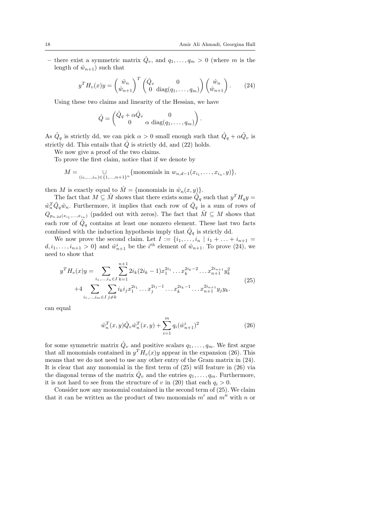– there exist a symmetric matrix  $\hat{Q}_v$ , and  $q_1, \ldots, q_m > 0$  (where m is the length of  $\hat{w}_{n+1}$ ) such that

$$
y^T H_v(x) y = \begin{pmatrix} \hat{w}_n \\ \hat{w}_{n+1} \end{pmatrix}^T \begin{pmatrix} \hat{Q}_v & 0 \\ 0 & \text{diag}(q_1, \dots, q_m) \end{pmatrix} \begin{pmatrix} \hat{w}_n \\ \hat{w}_{n+1} \end{pmatrix}.
$$
 (24)

Using these two claims and linearity of the Hessian, we have

$$
\hat{Q} = \begin{pmatrix} \hat{Q}_q + \alpha \hat{Q}_v & 0 \\ 0 & \alpha \text{ diag}(q_1, \dots, q_m) \end{pmatrix}.
$$

As  $\hat{Q}_q$  is strictly dd, we can pick  $\alpha > 0$  small enough such that  $\hat{Q}_q + \alpha \hat{Q}_v$  is strictly dd. This entails that  $\hat{Q}$  is strictly dd, and (22) holds.

We now give a proof of the two claims.

To prove the first claim, notice that if we denote by

$$
M = \bigcup_{(i_1,\ldots,i_n)\in\{1,\ldots,n+1\}^n} \{\text{monomials in } w_{n,d-1}(x_{i_1},\ldots,x_{i_n},y)\},\
$$

then M is exactly equal to  $\hat{M} = \{\text{monomials in }\hat{w}_n(x, y)\}.$ 

The fact that  $M \subseteq \hat{M}$  shows that there exists some  $\hat{Q}_q$  such that  $y^T H_q y =$  $\hat{w}_n^T \hat{Q}_q \hat{w}_n$ . Furthermore, it implies that each row of  $\hat{Q}_q$  is a sum of rows of  $Q_{p_{n,2d}(x_{i_1},...,x_{i_n})}$  (padded out with zeros). The fact that  $\hat{M} \subseteq M$  shows that each row of  $\hat{Q}_q$  contains at least one nonzero element. These last two facts combined with the induction hypothesis imply that  $\hat{Q}_q$  is strictly dd.

We now prove the second claim. Let  $I := \{i_1, \ldots, i_n | i_1 + \ldots + i_{n+1} =$  $d, i_1, \ldots, i_{n+1} > 0$  and  $\hat{w}_{n+1}^i$  be the  $i^{th}$  element of  $\hat{w}_{n+1}$ . To prove (24), we need to show that

$$
y^{T} H_{v}(x)y = \sum_{i_{1},...,i_{n} \in I} \sum_{k=1}^{n+1} 2i_{k}(2i_{k} - 1)x_{1}^{2i_{1}} \dots x_{k}^{2i_{k} - 2} \dots x_{n+1}^{2i_{n+1}} y_{k}^{2}
$$
  
+4 
$$
\sum_{i_{1},...,i_{m} \in I} \sum_{j \neq k} i_{k} i_{j} x_{1}^{2i_{1}} \dots x_{j}^{2i_{j} - 1} \dots x_{k}^{2i_{k} - 1} \dots x_{n+1}^{2i_{n+1}} y_{j} y_{k}.
$$
 (25)

can equal

$$
\hat{w}_n^T(x, y)\hat{Q}_v \hat{w}_n^T(x, y) + \sum_{i=1}^m q_i (\hat{w}_{n+1}^i)^2
$$
\n(26)

for some symmetric matrix  $\hat{Q}_v$  and positive scalars  $q_1, \ldots, q_m$ . We first argue that all monomials contained in  $y^T H_v(x)y$  appear in the expansion (26). This means that we do not need to use any other entry of the Gram matrix in (24). It is clear that any monomial in the first term of (25) will feature in (26) via the diagonal terms of the matrix  $\hat{Q}_v$  and the entries  $q_1, \ldots, q_m$ . Furthermore, it is not hard to see from the structure of v in (20) that each  $q_i > 0$ .

Consider now any monomial contained in the second term of (25). We claim that it can be written as the product of two monomials  $m'$  and  $m''$  with n or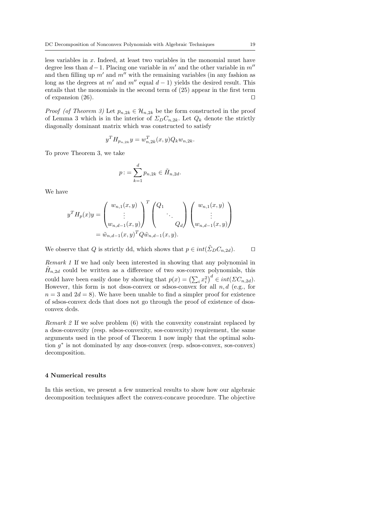less variables in x. Indeed, at least two variables in the monomial must have degree less than  $d-1$ . Placing one variable in m' and the other variable in m'' and then filling up  $m'$  and  $m''$  with the remaining variables (in any fashion as long as the degrees at m' and m<sup>''</sup> equal  $d - 1$ ) yields the desired result. This entails that the monomials in the second term of (25) appear in the first term of expansion  $(26)$ .

*Proof (of Theorem 3)* Let  $p_{n,2k} \in \mathcal{H}_{n,2k}$  be the form constructed in the proof of Lemma 3 which is in the interior of  $\Sigma_D C_{n,2k}$ . Let  $Q_k$  denote the strictly diagonally dominant matrix which was constructed to satisfy

$$
y^T H_{p_{n,2k}} y = w_{n,2k}^T(x, y) Q_k w_{n,2k}.
$$

To prove Theorem 3, we take

$$
p: = \sum_{k=1}^d p_{n,2k} \in \tilde{H}_{n,2d}.
$$

We have

$$
y^{T} H_{p}(x) y = \begin{pmatrix} w_{n,1}(x, y) \\ \vdots \\ w_{n,d-1}(x, y) \end{pmatrix}^{T} \begin{pmatrix} Q_{1} \\ \vdots \\ Q_{d} \end{pmatrix} \begin{pmatrix} w_{n,1}(x, y) \\ \vdots \\ w_{n,d-1}(x, y) \end{pmatrix}
$$

$$
= \tilde{w}_{n,d-1}(x, y)^{T} Q \tilde{w}_{n,d-1}(x, y).
$$

We observe that Q is strictly dd, which shows that  $p \in int(\tilde{\Sigma}_D C_{n,2d})$ .  $\square$ 

Remark 1 If we had only been interested in showing that any polynomial in  $\tilde{H}_{n,2d}$  could be written as a difference of two sos-convex polynomials, this could have been easily done by showing that  $p(x) = (\sum_i x_i^2)^d \in int(\Sigma C_{n,2d})$ . However, this form is not dsos-convex or sdsos-convex for all  $n, d$  (e.g., for  $n = 3$  and  $2d = 8$ ). We have been unable to find a simpler proof for existence of sdsos-convex dcds that does not go through the proof of existence of dsosconvex dcds.

Remark 2 If we solve problem (6) with the convexity constraint replaced by a dsos-convexity (resp. sdsos-convexity, sos-convexity) requirement, the same arguments used in the proof of Theorem 1 now imply that the optimal solution  $g^*$  is not dominated by any dsos-convex (resp. sdsos-convex, sos-convex) decomposition.

### 4 Numerical results

In this section, we present a few numerical results to show how our algebraic decomposition techniques affect the convex-concave procedure. The objective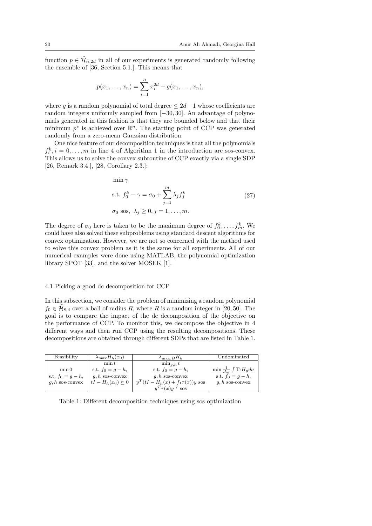function  $p \in \tilde{\mathcal{H}}_{n,2d}$  in all of our experiments is generated randomly following the ensemble of [36, Section 5.1.]. This means that

$$
p(x_1,...,x_n) = \sum_{i=1}^n x_i^{2d} + g(x_1,...,x_n),
$$

where g is a random polynomial of total degree  $\leq 2d-1$  whose coefficients are random integers uniformly sampled from [−30, 30]. An advantage of polynomials generated in this fashion is that they are bounded below and that their minimum  $p^*$  is achieved over  $\mathbb{R}^n$ . The starting point of CCP was generated randomly from a zero-mean Gaussian distribution.

One nice feature of our decomposition techniques is that all the polynomials  $f_i^k$ ,  $i = 0, \ldots, m$  in line 4 of Algorithm 1 in the introduction are sos-convex. This allows us to solve the convex subroutine of CCP exactly via a single SDP [26, Remark 3.4.], [28, Corollary 2.3.]:

min  $\gamma$ 

$$
\text{s.t. } f_0^k - \gamma = \sigma_0 + \sum_{j=1}^m \lambda_j f_j^k \tag{27}
$$

 $\sigma_0$  sos,  $\lambda_j \geq 0, j = 1, \ldots, m$ .

The degree of  $\sigma_0$  here is taken to be the maximum degree of  $f_0^k, \ldots, f_m^k$ . We could have also solved these subproblems using standard descent algorithms for convex optimization. However, we are not so concerned with the method used to solve this convex problem as it is the same for all experiments. All of our numerical examples were done using MATLAB, the polynomial optimization library SPOT [33], and the solver MOSEK [1].

### 4.1 Picking a good dc decomposition for CCP

In this subsection, we consider the problem of minimizing a random polynomial  $f_0 \in \tilde{\mathcal{H}}_{8,4}$  over a ball of radius R, where R is a random integer in [20, 50]. The goal is to compare the impact of the dc decomposition of the objective on the performance of CCP. To monitor this, we decompose the objective in 4 different ways and then run CCP using the resulting decompositions. These decompositions are obtained through different SDPs that are listed in Table 1.

| Feasibility          | $\lambda_{\max} H_h(x_0)$ | $\lambda_{\max,B}H_h$                      | Undominated                                     |
|----------------------|---------------------------|--------------------------------------------|-------------------------------------------------|
|                      | $\min t$                  | $\min_{a, h} t$                            |                                                 |
| min 0                | s.t. $f_0 = q - h$ ,      | s.t. $f_0 = q - h$ ,                       | $\min \frac{1}{A_n} \int \text{Tr} H_g d\sigma$ |
| s.t. $f_0 = q - h$ , | $q, h$ sos-convex         | $q, h$ sos-convex                          | s.t. $f_0 = g - h$ ,                            |
| $q, h$ sos-convex    | $tI - H_h(x_0) \succeq 0$ | $y^{T}(tI - H_{h}(x) + f_{1}\tau(x))y$ sos | $q, h$ sos-convex                               |
|                      |                           | $u^T \tau(x) u^T$ sos                      |                                                 |

Table 1: Different decomposition techniques using sos optimization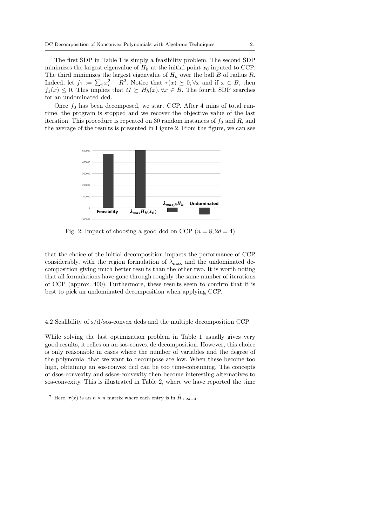The first SDP in Table 1 is simply a feasibility problem. The second SDP minimizes the largest eigenvalue of  $H_h$  at the initial point  $x_0$  inputed to CCP. The third minimizes the largest eigenvalue of  $H_h$  over the ball  $B$  of radius  $R$ . Indeed, let  $f_1 := \sum_i x_i^2 - R^2$ . Notice that  $\tau(x) \succeq 0, \forall x$  and if  $x \in B$ , then  $f_1(x) \leq 0$ . This implies that  $tI \succeq H_h(x), \forall x \in B$ . The fourth SDP searches for an undominated dcd.

Once  $f_0$  has been decomposed, we start CCP. After 4 mins of total runtime, the program is stopped and we recover the objective value of the last iteration. This procedure is repeated on 30 random instances of  $f_0$  and  $R$ , and the average of the results is presented in Figure 2. From the figure, we can see



Fig. 2: Impact of choosing a good dcd on CCP  $(n = 8, 2d = 4)$ 

that the choice of the initial decomposition impacts the performance of CCP considerably, with the region formulation of  $\lambda_{\text{max}}$  and the undominated decomposition giving much better results than the other two. It is worth noting that all formulations have gone through roughly the same number of iterations of CCP (approx. 400). Furthermore, these results seem to confirm that it is best to pick an undominated decomposition when applying CCP.

4.2 Scalibility of s/d/sos-convex dcds and the multiple decomposition CCP

While solving the last optimization problem in Table 1 usually gives very good results, it relies on an sos-convex dc decomposition. However, this choice is only reasonable in cases where the number of variables and the degree of the polynomial that we want to decompose are low. When these become too high, obtaining an sos-convex dcd can be too time-consuming. The concepts of dsos-convexity and sdsos-convexity then become interesting alternatives to sos-convexity. This is illustrated in Table 2, where we have reported the time

<sup>&</sup>lt;sup>7</sup> Here,  $\tau(x)$  is an  $n \times n$  matrix where each entry is in  $\tilde{H}_{n,2d-4}$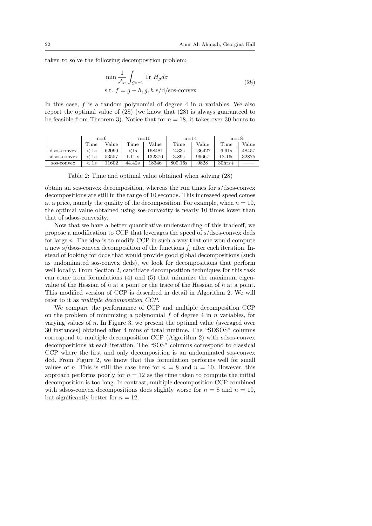taken to solve the following decomposition problem:

$$
\min \frac{1}{\mathcal{A}_n} \int_{S^{n-1}} \text{Tr} \ H_g d\sigma
$$
  
s.t.  $f = g - h, g, h \ s/d/\text{sos-convex}$  (28)

In this case,  $f$  is a random polynomial of degree 4 in  $n$  variables. We also report the optimal value of (28) (we know that (28) is always guaranteed to be feasible from Theorem 3). Notice that for  $n = 18$ , it takes over 30 hours to

|              | $n=6$         |       | $n=10$ |        | $n = 14$ |        | $n = 18$ |       |
|--------------|---------------|-------|--------|--------|----------|--------|----------|-------|
|              | Time          | Value | Time   | Value  | Time     | Value  | Time     | Value |
| dsos-convex  | $<$ 1s        | 62090 | $<$ 1s | 168481 | 2.33s    | 136427 | 6.91s    | 48457 |
| sdsos-convex | $\langle$ 1.8 | 53557 |        | 132376 | 3.89s    | 99667  | 12.16s   | 32875 |
| sos-convex   | $\perp s$     | 1602  | 44.42s | 18346  | 800.16s  | 9828   | $30hrs+$ |       |

Table 2: Time and optimal value obtained when solving (28)

obtain an sos-convex decomposition, whereas the run times for s/dsos-convex decompositions are still in the range of 10 seconds. This increased speed comes at a price, namely the quality of the decomposition. For example, when  $n = 10$ , the optimal value obtained using sos-convexity is nearly 10 times lower than that of sdsos-convexity.

Now that we have a better quantitative understanding of this tradeoff, we propose a modification to CCP that leverages the speed of s/dsos-convex dcds for large  $n$ . The idea is to modify CCP in such a way that one would compute a new s/dsos-convex decomposition of the functions  $f_i$  after each iteration. Instead of looking for dcds that would provide good global decompositions (such as undominated sos-convex dcds), we look for decompositions that perform well locally. From Section 2, candidate decomposition techniques for this task can come from formulations (4) and (5) that minimize the maximum eigenvalue of the Hessian of h at a point or the trace of the Hessian of h at a point. This modified version of CCP is described in detail in Algorithm 2. We will refer to it as multiple decomposition CCP.

We compare the performance of CCP and multiple decomposition CCP on the problem of minimizing a polynomial  $f$  of degree 4 in  $n$  variables, for varying values of n. In Figure 3, we present the optimal value (averaged over 30 instances) obtained after 4 mins of total runtime. The "SDSOS" columns correspond to multiple decomposition CCP (Algorithm 2) with sdsos-convex decompositions at each iteration. The "SOS" columns correspond to classical CCP where the first and only decomposition is an undominated sos-convex dcd. From Figure 2, we know that this formulation performs well for small values of n. This is still the case here for  $n = 8$  and  $n = 10$ . However, this approach performs poorly for  $n = 12$  as the time taken to compute the initial decomposition is too long. In contrast, multiple decomposition CCP combined with sdsos-convex decompositions does slightly worse for  $n = 8$  and  $n = 10$ , but significantly better for  $n = 12$ .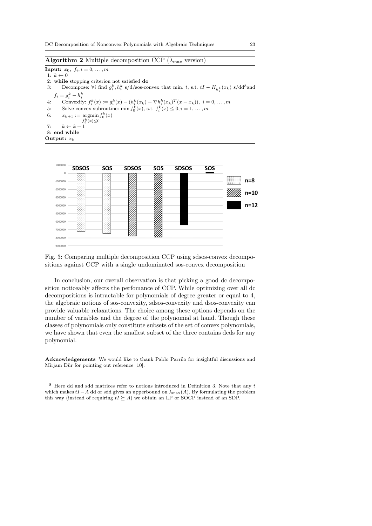### **Algorithm 2** Multiple decomposition CCP ( $\lambda_{\text{max}}$  version)

**Input:**  $x_0, f_i, i = 0, \ldots, m$ 1:  $k \leftarrow 0$ 2: while stopping criterion not satisfied do 3: Decompose:  $\forall i$  find  $g_i^k$ ,  $h_i^k$  s/d/sos-convex that min. t, s.t.  $tI - H_{h_i^k}(x_k)$  s/dd<sup>8</sup> and  $f_i = g_i^k - h_i^k$ 4: Convexify:  $f_i^k(x) := g_i^k(x) - (h_i^k(x_k) + \nabla h_i^k(x_k)^T(x - x_k)), \ i = 0, ..., m$ 5: Solve convex subroutine: min  $f_0^k(x)$ , s.t.  $f_i^k(x) \leq 0, i = 1, ..., m$ 6:  $x_{k+1} := \operatorname{argmin} f_0^k(x)$  $f_i^k(x) \leq 0$ 7:  $k \leftarrow k + 1$ 8: end while Output:  $x_k$ 

| 1000000      | <b>SDSOS</b>                                                  | SOS                                 | <b>SDSOS</b> | <b>SOS</b> | <b>SDSOS</b> | SOS |        |  |
|--------------|---------------------------------------------------------------|-------------------------------------|--------------|------------|--------------|-----|--------|--|
| $\mathbf{0}$ | .<br>$\cdots$                                                 | .<br>.                              |              |            |              |     |        |  |
| $-1000000$   | .<br>.<br>$\cdots$<br>$\cdots$<br>.<br>1.1.1<br>.             | .<br>.<br>$\cdots$<br>$\sim$        |              |            |              |     | n=8    |  |
| $-2000000$   | .<br>.<br>.<br>.<br>.<br>.<br>.<br>.<br>.                     | $\sim$<br>$\cdots$<br>. .<br>.<br>. |              |            |              |     | $n=10$ |  |
| $-3000000$   | .<br><b>ALC ALC</b><br>.<br>.<br>.<br>.<br>.<br>.<br>.        | <b>A</b> 11<br>. .<br>۰.            |              |            |              |     |        |  |
| $-4000000$   | .<br>.<br>.<br>1.111<br>$\cdots$<br>.<br>.                    | .<br>.                              |              |            |              |     | $n=12$ |  |
| $-5000000$   | $\cdots$<br>$\cdots$<br>.<br>1.111<br>.<br>.<br>.<br>$\cdots$ | .                                   |              |            |              |     |        |  |
| $-6000000$   | .<br>$\cdots$<br>.<br>.<br>.<br>.<br>$\sim$ $\sim$<br>.       |                                     |              |            |              |     |        |  |
| $-7000000$   | .<br>555                                                      | .<br>.<br>.                         |              |            |              |     |        |  |
| $-8000000$   |                                                               |                                     |              |            |              |     |        |  |
| $-9000000$   |                                                               |                                     |              |            |              |     |        |  |

Fig. 3: Comparing multiple decomposition CCP using sdsos-convex decompositions against CCP with a single undominated sos-convex decomposition

In conclusion, our overall observation is that picking a good dc decomposition noticeably affects the perfomance of CCP. While optimizing over all dc decompositions is intractable for polynomials of degree greater or equal to 4, the algebraic notions of sos-convexity, sdsos-convexity and dsos-convexity can provide valuable relaxations. The choice among these options depends on the number of variables and the degree of the polynomial at hand. Though these classes of polynomials only constitute subsets of the set of convex polynomials, we have shown that even the smallest subset of the three contains dcds for any polynomial.

Acknowledgements We would like to thank Pablo Parrilo for insightful discussions and Mirjam Dür for pointing out reference  $[10]$ .

 $^8$  Here dd and sdd matrices refer to notions introduced in Definition 3. Note that any  $t$ which makes  $tI - A$  dd or sdd gives an upperbound on  $\lambda_{\max}(A)$ . By formulating the problem this way (instead of requiring  $tI \succeq A$ ) we obtain an LP or SOCP instead of an SDP.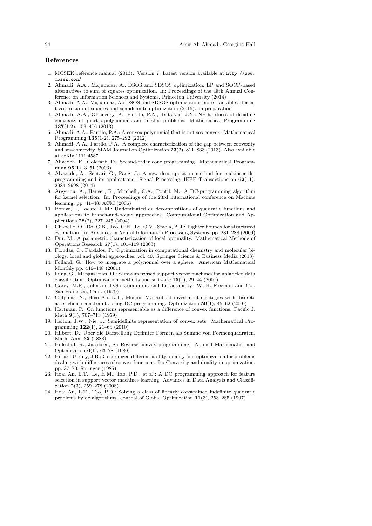### References

- 1. MOSEK reference manual (2013). Version 7. Latest version available at http://www. mosek.com/
- 2. Ahmadi, A.A., Majumdar, A.: DSOS and SDSOS optimization: LP and SOCP-based alternatives to sum of squares optimization. In: Proceedings of the 48th Annual Conference on Information Sciences and Systems. Princeton University (2014)
- 3. Ahmadi, A.A., Majumdar, A.: DSOS and SDSOS optimization: more tractable alternatives to sum of squares and semidefinite optimization (2015). In preparation
- 4. Ahmadi, A.A., Olshevsky, A., Parrilo, P.A., Tsitsiklis, J.N.: NP-hardness of deciding convexity of quartic polynomials and related problems. Mathematical Programming 137(1-2), 453–476 (2013)
- 5. Ahmadi, A.A., Parrilo, P.A.: A convex polynomial that is not sos-convex. Mathematical Programming 135(1-2), 275–292 (2012)
- 6. Ahmadi, A.A., Parrilo, P.A.: A complete characterization of the gap between convexity and sos-convexity. SIAM Journal on Optimization 23(2), 811–833 (2013). Also available at arXiv:1111.4587
- 7. Alizadeh, F., Goldfarb, D.: Second-order cone programming. Mathematical Programming 95(1), 3–51 (2003)
- 8. Alvarado, A., Scutari, G., Pang, J.: A new decomposition method for multiuser dcprogramming and its applications. Signal Processing, IEEE Transactions on 62(11), 2984–2998 (2014)
- 9. Argyriou, A., Hauser, R., Micchelli, C.A., Pontil, M.: A DC-programming algorithm for kernel selection. In: Proceedings of the 23rd international conference on Machine learning, pp. 41–48. ACM (2006)
- 10. Bomze, I., Locatelli, M.: Undominated dc decompositions of quadratic functions and applications to branch-and-bound approaches. Computational Optimization and Applications 28(2), 227–245 (2004)
- 11. Chapelle, O., Do, C.B., Teo, C.H., Le, Q.V., Smola, A.J.: Tighter bounds for structured estimation. In: Advances in Neural Information Processing Systems, pp. 281–288 (2009)
- 12. Dür, M.: A parametric characterization of local optimality. Mathematical Methods of Operations Research 57(1), 101–109 (2003)
- 13. Floudas, C., Pardalos, P.: Optimization in computational chemistry and molecular biology: local and global approaches, vol. 40. Springer Science & Business Media (2013)
- 14. Folland, G.: How to integrate a polynomial over a sphere. American Mathematical Monthly pp. 446–448 (2001)
- 15. Fung, G., Mangasarian, O.: Semi-supervised support vector machines for unlabeled data classification. Optimization methods and software  $15(1)$ , 29–44 (2001)
- 16. Garey, M.R., Johnson, D.S.: Computers and Intractability. W. H. Freeman and Co., San Francisco, Calif. (1979)
- 17. Gulpinar, N., Hoai An, L.T., Moeini, M.: Robust investment strategies with discrete asset choice constraints using DC programming. Optimization 59(1), 45–62 (2010)
- 18. Hartman, P.: On functions representable as a difference of convex functions. Pacific J. Math 9(3), 707–713 (1959)
- 19. Helton, J.W., Nie, J.: Semidefinite representation of convex sets. Mathematical Programming 122(1), 21–64 (2010)
- 20. Hilbert, D.: Uber die Darstellung Definiter Formen als Summe von Formenquadraten. ¨ Math. Ann. 32 (1888)
- 21. Hillestad, R., Jacobsen, S.: Reverse convex programming. Applied Mathematics and Optimization 6(1), 63–78 (1980)
- 22. Hiriart-Urruty, J.B.: Generalized differentiability, duality and optimization for problems dealing with differences of convex functions. In: Convexity and duality in optimization, pp. 37–70. Springer (1985)
- 23. Hoai An, L.T., Le, H.M., Tao, P.D., et al.: A DC programming approach for feature selection in support vector machines learning. Advances in Data Analysis and Classification 2(3), 259–278 (2008)
- 24. Hoai An, L.T., Tao, P.D.: Solving a class of linearly constrained indefinite quadratic problems by dc algorithms. Journal of Global Optimization 11(3), 253–285 (1997)